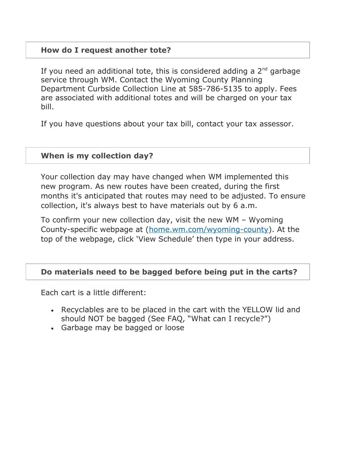### **How do I request another tote?**

If you need an additional tote, this is considered adding a  $2<sup>nd</sup>$  garbage service through WM. Contact the Wyoming County Planning Department Curbside Collection Line at 585-786-5135 to apply. Fees are associated with additional totes and will be charged on your tax bill.

If you have questions about your tax bill, contact your tax assessor.

#### **When is my collection day?**

Your collection day may have changed when WM implemented this new program. As new routes have been created, during the first months it's anticipated that routes may need to be adjusted. To ensure collection, it's always best to have materials out by 6 a.m.

To confirm your new collection day, visit the new WM – Wyoming County-specific webpage at ([home.wm.com/wyoming-county\)](http://home.wm.com/wyoming-county). At the top of the webpage, click 'View Schedule' then type in your address.

### **Do materials need to be bagged before being put in the carts?**

Each cart is a little different:

- Recyclables are to be placed in the cart with the YELLOW lid and should NOT be bagged (See FAQ, "What can I recycle?")
- Garbage may be bagged or loose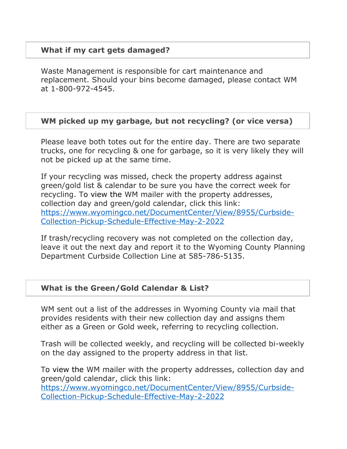### **What if my cart gets damaged?**

Waste Management is responsible for cart maintenance and replacement. Should your bins become damaged, please contact WM at 1-800-972-4545.

### **WM picked up my garbage, but not recycling? (or vice versa)**

Please leave both totes out for the entire day. There are two separate trucks, one for recycling & one for garbage, so it is very likely they will not be picked up at the same time.

If your recycling was missed, check the property address against green/gold list & calendar to be sure you have the correct week for recycling. To view the WM mailer with the property addresses, collection day and green/gold calendar, click this link: [https://www.wyomingco.net/DocumentCenter/View/8955/Curbside-](https://www.wyomingco.net/DocumentCenter/View/8955/Curbside-Collection-Pickup-Schedule-Effective-May-2-2022)[Collection-Pickup-Schedule-Effective-May-2-2022](https://www.wyomingco.net/DocumentCenter/View/8955/Curbside-Collection-Pickup-Schedule-Effective-May-2-2022)

If trash/recycling recovery was not completed on the collection day, leave it out the next day and report it to the Wyoming County Planning Department Curbside Collection Line at 585-786-5135.

### **What is the Green/Gold Calendar & List?**

WM sent out a list of the addresses in Wyoming County via mail that provides residents with their new collection day and assigns them either as a Green or Gold week, referring to recycling collection.

Trash will be collected weekly, and recycling will be collected bi-weekly on the day assigned to the property address in that list.

To view the WM mailer with the property addresses, collection day and green/gold calendar, click this link: [https://www.wyomingco.net/DocumentCenter/View/8955/Curbside-](https://www.wyomingco.net/DocumentCenter/View/8955/Curbside-Collection-Pickup-Schedule-Effective-May-2-2022)[Collection-Pickup-Schedule-Effective-May-2-2022](https://www.wyomingco.net/DocumentCenter/View/8955/Curbside-Collection-Pickup-Schedule-Effective-May-2-2022)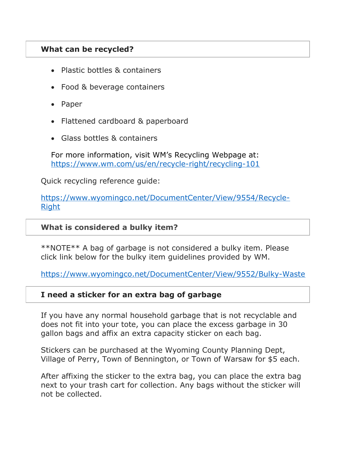## **What can be recycled?**

- Plastic bottles & containers
- Food & beverage containers
- Paper
- Flattened cardboard & paperboard
- Glass bottles & containers

For more information, visit WM's Recycling Webpage at: <https://www.wm.com/us/en/recycle-right/recycling-101>

Quick recycling reference guide:

[https://www.wyomingco.net/DocumentCenter/View/9554/Recycle-](https://www.wyomingco.net/DocumentCenter/View/9554/Recycle-Right)**[Right](https://www.wyomingco.net/DocumentCenter/View/9554/Recycle-Right)** 

#### **What is considered a bulky item?**

\*\*NOTE\*\* A bag of garbage is not considered a bulky item. Please click link below for the bulky item guidelines provided by WM.

<https://www.wyomingco.net/DocumentCenter/View/9552/Bulky-Waste>

### **I need a sticker for an extra bag of garbage**

If you have any normal household garbage that is not recyclable and does not fit into your tote, you can place the excess garbage in 30 gallon bags and affix an extra capacity sticker on each bag.

Stickers can be purchased at the Wyoming County Planning Dept, Village of Perry, Town of Bennington, or Town of Warsaw for \$5 each.

After affixing the sticker to the extra bag, you can place the extra bag next to your trash cart for collection. Any bags without the sticker will not be collected.